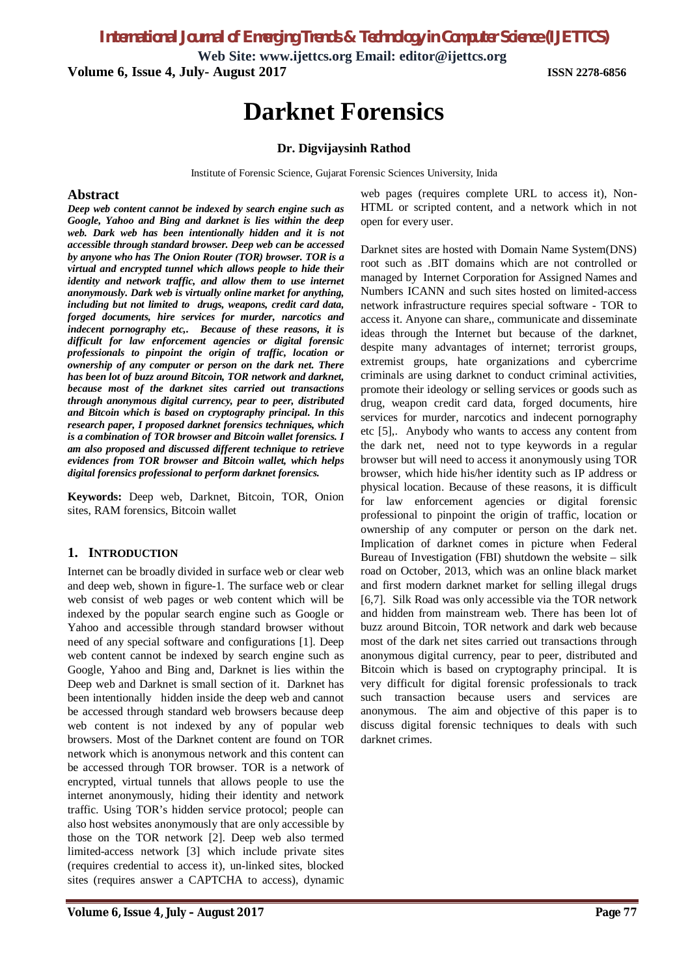*International Journal of Emerging Trends & Technology in Computer Science (IJETTCS)*

**Web Site: www.ijettcs.org Email: editor@ijettcs.org Volume 6, Issue 4, July- August 2017 ISSN 2278-6856**

# **Darknet Forensics**

# **Dr. Digvijaysinh Rathod**

Institute of Forensic Science, Gujarat Forensic Sciences University, Inida

#### **Abstract**

*Deep web content cannot be indexed by search engine such as Google, Yahoo and Bing and darknet is lies within the deep web. Dark web has been intentionally hidden and it is not accessible through standard browser. Deep web can be accessed by anyone who has The Onion Router (TOR) browser. TOR is a virtual and encrypted tunnel which allows people to hide their identity and network traffic, and allow them to use internet anonymously. Dark web is virtually online market for anything, including but not limited to drugs, weapons, credit card data, forged documents, hire services for murder, narcotics and indecent pornography etc,. Because of these reasons, it is difficult for law enforcement agencies or digital forensic professionals to pinpoint the origin of traffic, location or ownership of any computer or person on the dark net. There has been lot of buzz around Bitcoin, TOR network and darknet, because most of the darknet sites carried out transactions through anonymous digital currency, pear to peer, distributed and Bitcoin which is based on cryptography principal. In this research paper, I proposed darknet forensics techniques, which is a combination of TOR browser and Bitcoin wallet forensics. I am also proposed and discussed different technique to retrieve evidences from TOR browser and Bitcoin wallet, which helps digital forensics professional to perform darknet forensics.*

**Keywords:** Deep web, Darknet, Bitcoin, TOR, Onion sites, RAM forensics, Bitcoin wallet

### **1. INTRODUCTION**

Internet can be broadly divided in surface web or clear web and deep web, shown in figure-1. The surface web or clear web consist of web pages or web content which will be indexed by the popular search engine such as Google or Yahoo and accessible through standard browser without need of any special software and configurations [1]. Deep web content cannot be indexed by search engine such as Google, Yahoo and Bing and, Darknet is lies within the Deep web and Darknet is small section of it. Darknet has been intentionally hidden inside the deep web and cannot be accessed through standard web browsers because deep web content is not indexed by any of popular web browsers. Most of the Darknet content are found on TOR network which is anonymous network and this content can be accessed through TOR browser. TOR is a network of encrypted, virtual tunnels that allows people to use the internet anonymously, hiding their identity and network traffic. Using TOR's hidden service protocol; people can also host websites anonymously that are only accessible by those on the TOR network [2]. Deep web also termed limited-access network [3] which include private sites (requires credential to access it), un-linked sites, blocked sites (requires answer a CAPTCHA to access), dynamic

web pages (requires complete URL to access it), Non-HTML or scripted content, and a network which in not open for every user.

Darknet sites are hosted with Domain Name System(DNS) root such as .BIT domains which are not controlled or managed by Internet Corporation for Assigned Names and Numbers ICANN and such sites hosted on limited-access network infrastructure requires special software - TOR to access it. Anyone can share,, communicate and disseminate ideas through the Internet but because of the darknet, despite many advantages of internet; terrorist groups, extremist groups, hate organizations and cybercrime criminals are using darknet to conduct criminal activities, promote their ideology or selling services or goods such as drug, weapon credit card data, forged documents, hire services for murder, narcotics and indecent pornography etc [5],. Anybody who wants to access any content from the dark net, need not to type keywords in a regular browser but will need to access it anonymously using TOR browser, which hide his/her identity such as IP address or physical location. Because of these reasons, it is difficult for law enforcement agencies or digital forensic professional to pinpoint the origin of traffic, location or ownership of any computer or person on the dark net. Implication of darknet comes in picture when Federal Bureau of Investigation (FBI) shutdown the website – silk road on October, 2013, which was an online black market and first modern darknet market for selling illegal drugs [6,7]. Silk Road was only accessible via the TOR network and hidden from mainstream web. There has been lot of buzz around Bitcoin, TOR network and dark web because most of the dark net sites carried out transactions through anonymous digital currency, pear to peer, distributed and Bitcoin which is based on cryptography principal. It is very difficult for digital forensic professionals to track such transaction because users and services are anonymous. The aim and objective of this paper is to discuss digital forensic techniques to deals with such darknet crimes.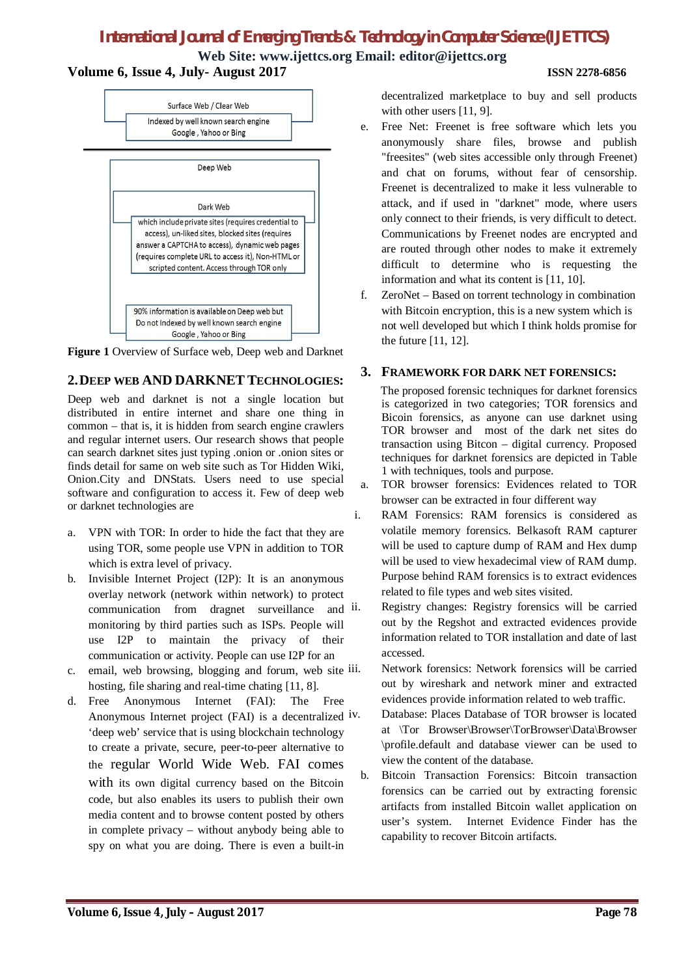# *International Journal of Emerging Trends & Technology in Computer Science (IJETTCS)*

**Web Site: www.ijettcs.org Email: editor@ijettcs.org Volume 6, Issue 4, July- August 2017 ISSN 2278-6856**



**Figure 1** Overview of Surface web, Deep web and Darknet

# **2.DEEP WEB AND DARKNET TECHNOLOGIES:**

Deep web and darknet is not a single location but distributed in entire internet and share one thing in common – that is, it is hidden from search engine crawlers and regular internet users. Our research shows that people can search darknet sites just typing .onion or .onion sites or finds detail for same on web site such as Tor Hidden Wiki, Onion.City and DNStats. Users need to use special software and configuration to access it. Few of deep web or darknet technologies are

- a. VPN with TOR: In order to hide the fact that they are using TOR, some people use VPN in addition to TOR which is extra level of privacy.
- b. Invisible Internet Project (I2P): It is an anonymous overlay network (network within network) to protect communication from dragnet surveillance and  $i$ . monitoring by third parties such as ISPs. People will use I2P to maintain the privacy of their communication or activity. People can use I2P for an
- c. email, web browsing, blogging and forum, web site iii. hosting, file sharing and real-time chating [11, 8].
- d. Free Anonymous Internet (FAI): The Free Anonymous Internet project (FAI) is a decentralized iv. 'deep web' service that is using blockchain technology to create a private, secure, peer-to-peer alternative to the regular World Wide Web. FAI comes with its own digital currency based on the Bitcoin code, but also enables its users to publish their own media content and to browse content posted by others in complete privacy – without anybody being able to spy on what you are doing. There is even a built-in

decentralized marketplace to buy and sell products with other users [11, 9].

- e. Free Net: Freenet is free software which lets you anonymously share files, browse and publish "freesites" (web sites accessible only through Freenet) and chat on forums, without fear of censorship. Freenet is decentralized to make it less vulnerable to attack, and if used in "darknet" mode, where users only connect to their friends, is very difficult to detect. Communications by Freenet nodes are encrypted and are routed through other nodes to make it extremely difficult to determine who is requesting the information and what its content is [11, 10].
- f. ZeroNet Based on torrent technology in combination with Bitcoin encryption, this is a new system which is not well developed but which I think holds promise for the future [11, 12].

# **3. FRAMEWORK FOR DARK NET FORENSICS:**

 The proposed forensic techniques for darknet forensics is categorized in two categories; TOR forensics and Bicoin forensics, as anyone can use darknet using TOR browser and most of the dark net sites do transaction using Bitcon – digital currency. Proposed techniques for darknet forensics are depicted in Table 1 with techniques, tools and purpose.

a. TOR browser forensics: Evidences related to TOR browser can be extracted in four different way

i. RAM Forensics: RAM forensics is considered as volatile memory forensics. Belkasoft RAM capturer will be used to capture dump of RAM and Hex dump will be used to view hexadecimal view of RAM dump. Purpose behind RAM forensics is to extract evidences related to file types and web sites visited.

Registry changes: Registry forensics will be carried out by the Regshot and extracted evidences provide information related to TOR installation and date of last accessed.

Network forensics: Network forensics will be carried out by wireshark and network miner and extracted evidences provide information related to web traffic.

Database: Places Database of TOR browser is located at \Tor Browser\Browser\TorBrowser\Data\Browser \profile.default and database viewer can be used to view the content of the database.

b. Bitcoin Transaction Forensics: Bitcoin transaction forensics can be carried out by extracting forensic artifacts from installed Bitcoin wallet application on user's system. Internet Evidence Finder has the capability to recover Bitcoin artifacts.